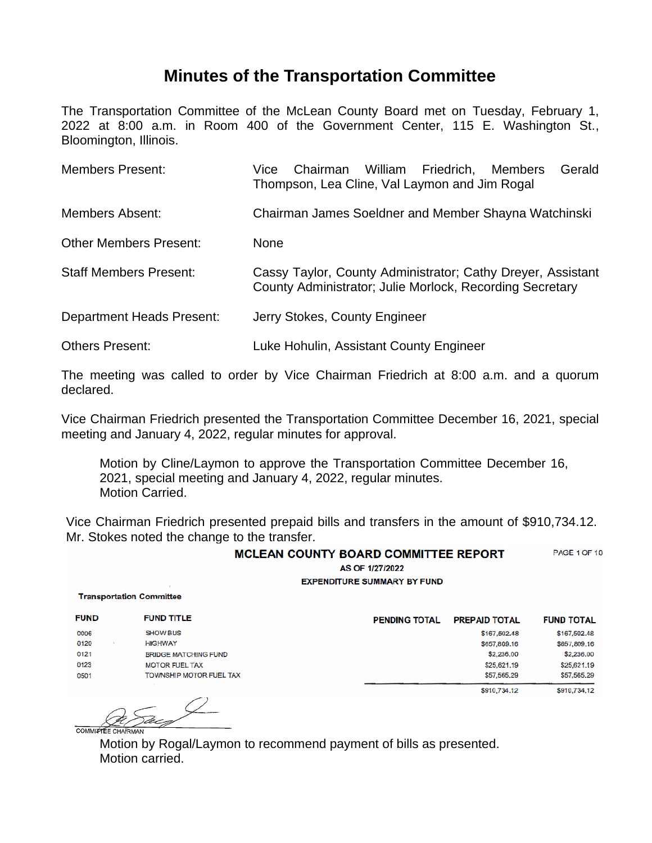## **Minutes of the Transportation Committee**

The Transportation Committee of the McLean County Board met on Tuesday, February 1, 2022 at 8:00 a.m. in Room 400 of the Government Center, 115 E. Washington St., Bloomington, Illinois.

| <b>Members Present:</b>          | William Friedrich, Members<br>Gerald<br>Chairman<br>Vice<br>Thompson, Lea Cline, Val Laymon and Jim Rogal               |  |  |  |
|----------------------------------|-------------------------------------------------------------------------------------------------------------------------|--|--|--|
| <b>Members Absent:</b>           | Chairman James Soeldner and Member Shayna Watchinski                                                                    |  |  |  |
| <b>Other Members Present:</b>    | None                                                                                                                    |  |  |  |
| <b>Staff Members Present:</b>    | Cassy Taylor, County Administrator; Cathy Dreyer, Assistant<br>County Administrator; Julie Morlock, Recording Secretary |  |  |  |
| <b>Department Heads Present:</b> | Jerry Stokes, County Engineer                                                                                           |  |  |  |
| <b>Others Present:</b>           | Luke Hohulin, Assistant County Engineer                                                                                 |  |  |  |

The meeting was called to order by Vice Chairman Friedrich at 8:00 a.m. and a quorum declared.

Vice Chairman Friedrich presented the Transportation Committee December 16, 2021, special meeting and January 4, 2022, regular minutes for approval.

Motion by Cline/Laymon to approve the Transportation Committee December 16, 2021, special meeting and January 4, 2022, regular minutes. Motion Carried.

Vice Chairman Friedrich presented prepaid bills and transfers in the amount of \$910,734.12. Mr. Stokes noted the change to the transfer.

| <b>MCLEAN COUNTY BOARD COMMITTEE REPORT</b> | <b>PAGE 1 OF 10</b> |
|---------------------------------------------|---------------------|
| AS OF 1/27/2022                             |                     |
| <b>EXPENDITURE SUMMARY BY FUND</b>          |                     |
| <b>Transportation Committee</b>             |                     |

| <b>FUND</b> | <b>FUND TITLE</b>           | <b>PENDING TOTAL</b> | <b>PREPAID TOTAL</b> | <b>FUND TOTAL</b> |
|-------------|-----------------------------|----------------------|----------------------|-------------------|
| 0006        | <b>SHOW BUS</b>             |                      | \$167,502,48         | \$167,502,48      |
| 0120        | <b>HIGHWAY</b>              |                      | \$657,809.16         | \$657,809.16      |
| 0121        | <b>BRIDGE MATCHING FUND</b> |                      | \$2,236.00           | \$2,236.00        |
| 0123        | <b>MOTOR FUEL TAX</b>       |                      | \$25,621.19          | \$25,621.19       |
| 0501        | TOWNSHIP MOTOR FUEL TAX     |                      | \$57,565.29          | \$57,565.29       |
|             | $-$                         |                      | \$910,734.12         | \$910,734,12      |

 $\varnothing$  .

 $COMMZT$ 

Motion by Rogal/Laymon to recommend payment of bills as presented. Motion carried.